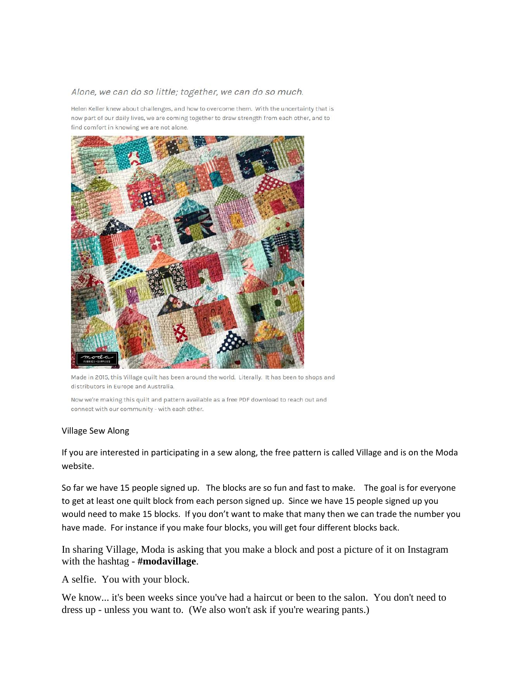## Alone, we can do so little; together, we can do so much.

Helen Keller knew about challenges, and how to overcome them. With the uncertainty that is now part of our daily lives, we are coming together to draw strength from each other, and to find comfort in knowing we are not alone.



Made in 2015, this Village quilt has been around the world. Literally. It has been to shops and distributors in Europe and Australia.

Now we're making this quilt and pattern available as a free PDF download to reach out and connect with our community - with each other.

## Village Sew Along

If you are interested in participating in a sew along, the free pattern is called Village and is on the Moda website.

So far we have 15 people signed up. The blocks are so fun and fast to make. The goal is for everyone to get at least one quilt block from each person signed up. Since we have 15 people signed up you would need to make 15 blocks. If you don't want to make that many then we can trade the number you have made. For instance if you make four blocks, you will get four different blocks back.

In sharing Village, Moda is asking that you make a block and post a picture of it on Instagram with the hashtag - **#modavillage**.

A selfie. You with your block.

We know... it's been weeks since you've had a haircut or been to the salon. You don't need to dress up - unless you want to. (We also won't ask if you're wearing pants.)